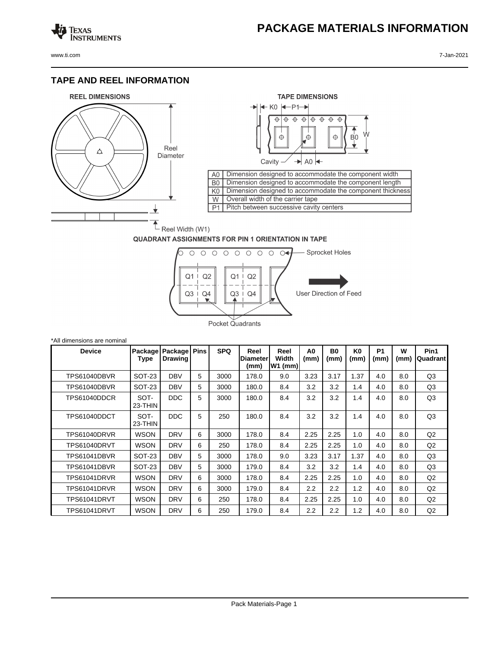## **PACKAGE MATERIALS INFORMATION**

Texas<br>Instruments

## **TAPE AND REEL INFORMATION**





## **QUADRANT ASSIGNMENTS FOR PIN 1 ORIENTATION IN TAPE**



| *All dimensions are nominal |                 |                           |             |            |                                 |                          |                        |                   |            |                   |           |                  |
|-----------------------------|-----------------|---------------------------|-------------|------------|---------------------------------|--------------------------|------------------------|-------------------|------------|-------------------|-----------|------------------|
| <b>Device</b>               | Package<br>Type | Package<br><b>Drawing</b> | <b>Pins</b> | <b>SPQ</b> | Reel<br><b>Diameter</b><br>(mm) | Reel<br>Width<br>W1 (mm) | A <sub>0</sub><br>(mm) | <b>B0</b><br>(mm) | K0<br>(mm) | <b>P1</b><br>(mm) | W<br>(mm) | Pin1<br>Quadrant |
| TPS61040DBVR                | <b>SOT-23</b>   | <b>DBV</b>                | 5           | 3000       | 178.0                           | 9.0                      | 3.23                   | 3.17              | 1.37       | 4.0               | 8.0       | Q <sub>3</sub>   |
| TPS61040DBVR                | SOT-23          | <b>DBV</b>                | 5           | 3000       | 180.0                           | 8.4                      | 3.2                    | 3.2               | 1.4        | 4.0               | 8.0       | Q <sub>3</sub>   |
| TPS61040DDCR                | SOT-<br>23-THIN | <b>DDC</b>                | 5           | 3000       | 180.0                           | 8.4                      | 3.2                    | 3.2               | 1.4        | 4.0               | 8.0       | Q3               |
| TPS61040DDCT                | SOT-<br>23-THIN | <b>DDC</b>                | 5           | 250        | 180.0                           | 8.4                      | 3.2                    | 3.2               | 1.4        | 4.0               | 8.0       | Q <sub>3</sub>   |
| TPS61040DRVR                | <b>WSON</b>     | <b>DRV</b>                | 6           | 3000       | 178.0                           | 8.4                      | 2.25                   | 2.25              | 1.0        | 4.0               | 8.0       | Q2               |
| TPS61040DRVT                | <b>WSON</b>     | <b>DRV</b>                | 6           | 250        | 178.0                           | 8.4                      | 2.25                   | 2.25              | 1.0        | 4.0               | 8.0       | Q2               |
| TPS61041DBVR                | SOT-23          | <b>DBV</b>                | 5           | 3000       | 178.0                           | 9.0                      | 3.23                   | 3.17              | 1.37       | 4.0               | 8.0       | Q3               |
| TPS61041DBVR                | SOT-23          | <b>DBV</b>                | 5           | 3000       | 179.0                           | 8.4                      | 3.2                    | 3.2               | 1.4        | 4.0               | 8.0       | Q <sub>3</sub>   |
| TPS61041DRVR                | <b>WSON</b>     | <b>DRV</b>                | 6           | 3000       | 178.0                           | 8.4                      | 2.25                   | 2.25              | 1.0        | 4.0               | 8.0       | Q2               |
| TPS61041DRVR                | <b>WSON</b>     | <b>DRV</b>                | 6           | 3000       | 179.0                           | 8.4                      | 2.2                    | 2.2               | 1.2        | 4.0               | 8.0       | Q2               |
| TPS61041DRVT                | <b>WSON</b>     | <b>DRV</b>                | 6           | 250        | 178.0                           | 8.4                      | 2.25                   | 2.25              | 1.0        | 4.0               | 8.0       | Q2               |
| TPS61041DRVT                | <b>WSON</b>     | <b>DRV</b>                | 6           | 250        | 179.0                           | 8.4                      | 2.2                    | $2.2\phantom{0}$  | 1.2        | 4.0               | 8.0       | Q2               |